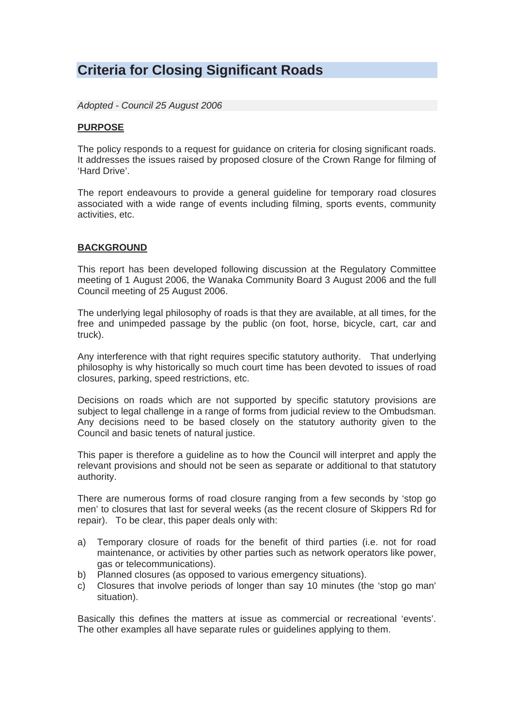## **Criteria for Closing Significant Roads**

*Adopted - Council 25 August 2006* 

#### **PURPOSE**

The policy responds to a request for guidance on criteria for closing significant roads. It addresses the issues raised by proposed closure of the Crown Range for filming of 'Hard Drive'.

The report endeavours to provide a general guideline for temporary road closures associated with a wide range of events including filming, sports events, community activities, etc.

#### **BACKGROUND**

This report has been developed following discussion at the Regulatory Committee meeting of 1 August 2006, the Wanaka Community Board 3 August 2006 and the full Council meeting of 25 August 2006.

The underlying legal philosophy of roads is that they are available, at all times, for the free and unimpeded passage by the public (on foot, horse, bicycle, cart, car and truck).

Any interference with that right requires specific statutory authority. That underlying philosophy is why historically so much court time has been devoted to issues of road closures, parking, speed restrictions, etc.

Decisions on roads which are not supported by specific statutory provisions are subject to legal challenge in a range of forms from judicial review to the Ombudsman. Any decisions need to be based closely on the statutory authority given to the Council and basic tenets of natural justice.

This paper is therefore a guideline as to how the Council will interpret and apply the relevant provisions and should not be seen as separate or additional to that statutory authority.

There are numerous forms of road closure ranging from a few seconds by 'stop go men' to closures that last for several weeks (as the recent closure of Skippers Rd for repair). To be clear, this paper deals only with:

- a) Temporary closure of roads for the benefit of third parties (i.e. not for road maintenance, or activities by other parties such as network operators like power, gas or telecommunications).
- b) Planned closures (as opposed to various emergency situations).
- c) Closures that involve periods of longer than say 10 minutes (the 'stop go man' situation).

Basically this defines the matters at issue as commercial or recreational 'events'. The other examples all have separate rules or guidelines applying to them.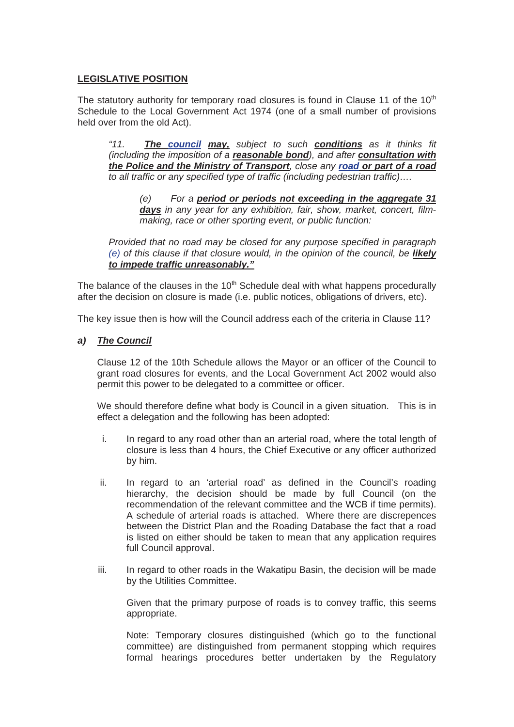#### **LEGISLATIVE POSITION**

The statutory authority for temporary road closures is found in Clause 11 of the  $10<sup>th</sup>$ Schedule to the Local Government Act 1974 (one of a small number of provisions held over from the old Act).

*"11. The council may, subject to such conditions as it thinks fit (including the imposition of a reasonable bond), and after consultation with the Police and the Ministry of Transport, close any road or part of a road to all traffic or any specified type of traffic (including pedestrian traffic)….* 

*(e) For a period or periods not exceeding in the aggregate 31 days in any year for any exhibition, fair, show, market, concert, filmmaking, race or other sporting event, or public function:* 

*Provided that no road may be closed for any purpose specified in paragraph (e)* of this clause if that closure would, in the opinion of the council, be **likely** *to impede traffic unreasonably."* 

The balance of the clauses in the  $10<sup>th</sup>$  Schedule deal with what happens procedurally after the decision on closure is made (i.e. public notices, obligations of drivers, etc).

The key issue then is how will the Council address each of the criteria in Clause 11?

*a) The Council* 

Clause 12 of the 10th Schedule allows the Mayor or an officer of the Council to grant road closures for events, and the Local Government Act 2002 would also permit this power to be delegated to a committee or officer.

We should therefore define what body is Council in a given situation. This is in effect a delegation and the following has been adopted:

- i. In regard to any road other than an arterial road, where the total length of closure is less than 4 hours, the Chief Executive or any officer authorized by him.
- ii. In regard to an 'arterial road' as defined in the Council's roading hierarchy, the decision should be made by full Council (on the recommendation of the relevant committee and the WCB if time permits). A schedule of arterial roads is attached. Where there are discrepences between the District Plan and the Roading Database the fact that a road is listed on either should be taken to mean that any application requires full Council approval.
- iii. In regard to other roads in the Wakatipu Basin, the decision will be made by the Utilities Committee.

Given that the primary purpose of roads is to convey traffic, this seems appropriate.

Note: Temporary closures distinguished (which go to the functional committee) are distinguished from permanent stopping which requires formal hearings procedures better undertaken by the Regulatory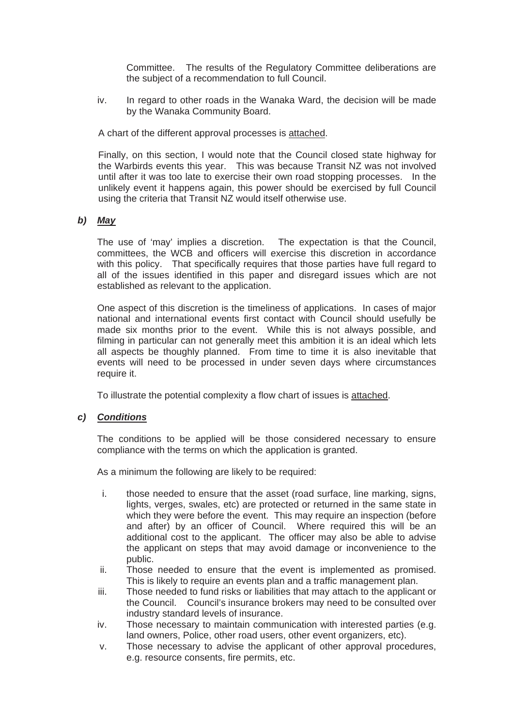Committee. The results of the Regulatory Committee deliberations are the subject of a recommendation to full Council.

iv. In regard to other roads in the Wanaka Ward, the decision will be made by the Wanaka Community Board.

A chart of the different approval processes is attached.

Finally, on this section, I would note that the Council closed state highway for the Warbirds events this year. This was because Transit NZ was not involved until after it was too late to exercise their own road stopping processes. In the unlikely event it happens again, this power should be exercised by full Council using the criteria that Transit NZ would itself otherwise use.

#### *b) May*

The use of 'may' implies a discretion. The expectation is that the Council, committees, the WCB and officers will exercise this discretion in accordance with this policy. That specifically requires that those parties have full regard to all of the issues identified in this paper and disregard issues which are not established as relevant to the application.

One aspect of this discretion is the timeliness of applications. In cases of major national and international events first contact with Council should usefully be made six months prior to the event. While this is not always possible, and filming in particular can not generally meet this ambition it is an ideal which lets all aspects be thoughly planned. From time to time it is also inevitable that events will need to be processed in under seven days where circumstances require it.

To illustrate the potential complexity a flow chart of issues is attached.

#### *c) Conditions*

The conditions to be applied will be those considered necessary to ensure compliance with the terms on which the application is granted.

As a minimum the following are likely to be required:

- i. those needed to ensure that the asset (road surface, line marking, signs, lights, verges, swales, etc) are protected or returned in the same state in which they were before the event. This may require an inspection (before and after) by an officer of Council. Where required this will be an additional cost to the applicant. The officer may also be able to advise the applicant on steps that may avoid damage or inconvenience to the public.
- ii. Those needed to ensure that the event is implemented as promised. This is likely to require an events plan and a traffic management plan.
- iii. Those needed to fund risks or liabilities that may attach to the applicant or the Council. Council's insurance brokers may need to be consulted over industry standard levels of insurance.
- iv. Those necessary to maintain communication with interested parties (e.g. land owners, Police, other road users, other event organizers, etc).
- v. Those necessary to advise the applicant of other approval procedures, e.g. resource consents, fire permits, etc.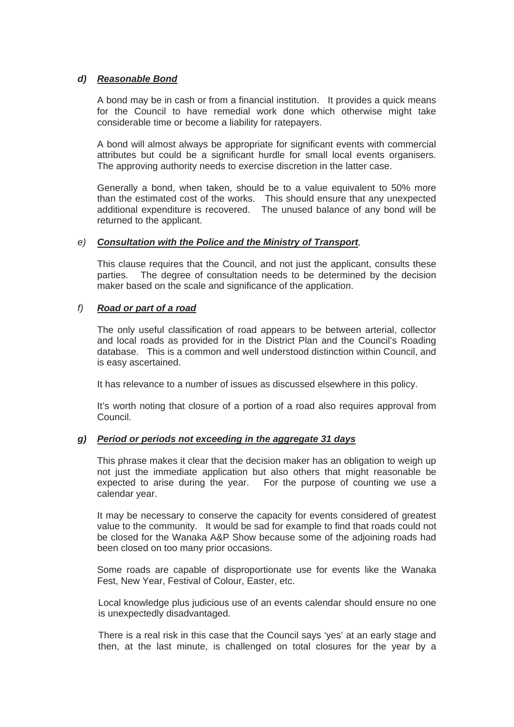#### *d) Reasonable Bond*

A bond may be in cash or from a financial institution. It provides a quick means for the Council to have remedial work done which otherwise might take considerable time or become a liability for ratepayers.

A bond will almost always be appropriate for significant events with commercial attributes but could be a significant hurdle for small local events organisers. The approving authority needs to exercise discretion in the latter case.

Generally a bond, when taken, should be to a value equivalent to 50% more than the estimated cost of the works. This should ensure that any unexpected additional expenditure is recovered. The unused balance of any bond will be returned to the applicant.

#### *e) Consultation with the Police and the Ministry of Transport,*

This clause requires that the Council, and not just the applicant, consults these parties. The degree of consultation needs to be determined by the decision maker based on the scale and significance of the application.

#### *f) Road or part of a road*

The only useful classification of road appears to be between arterial, collector and local roads as provided for in the District Plan and the Council's Roading database. This is a common and well understood distinction within Council, and is easy ascertained.

It has relevance to a number of issues as discussed elsewhere in this policy.

It's worth noting that closure of a portion of a road also requires approval from Council.

#### *g) Period or periods not exceeding in the aggregate 31 days*

This phrase makes it clear that the decision maker has an obligation to weigh up not just the immediate application but also others that might reasonable be expected to arise during the year. For the purpose of counting we use a calendar year.

It may be necessary to conserve the capacity for events considered of greatest value to the community. It would be sad for example to find that roads could not be closed for the Wanaka A&P Show because some of the adjoining roads had been closed on too many prior occasions.

Some roads are capable of disproportionate use for events like the Wanaka Fest, New Year, Festival of Colour, Easter, etc.

Local knowledge plus judicious use of an events calendar should ensure no one is unexpectedly disadvantaged.

There is a real risk in this case that the Council says 'yes' at an early stage and then, at the last minute, is challenged on total closures for the year by a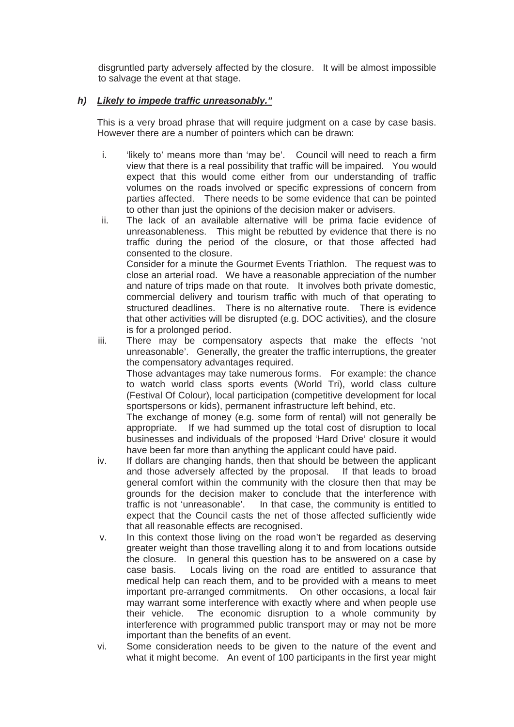disgruntled party adversely affected by the closure. It will be almost impossible to salvage the event at that stage.

#### *h) Likely to impede traffic unreasonably."*

This is a very broad phrase that will require judgment on a case by case basis. However there are a number of pointers which can be drawn:

- i. 'likely to' means more than 'may be'. Council will need to reach a firm view that there is a real possibility that traffic will be impaired. You would expect that this would come either from our understanding of traffic volumes on the roads involved or specific expressions of concern from parties affected. There needs to be some evidence that can be pointed to other than just the opinions of the decision maker or advisers.
- ii. The lack of an available alternative will be prima facie evidence of unreasonableness. This might be rebutted by evidence that there is no traffic during the period of the closure, or that those affected had consented to the closure. Consider for a minute the Gourmet Events Triathlon. The request was to close an arterial road. We have a reasonable appreciation of the number and nature of trips made on that route. It involves both private domestic, commercial delivery and tourism traffic with much of that operating to structured deadlines. There is no alternative route. There is evidence that other activities will be disrupted (e.g. DOC activities), and the closure is for a prolonged period.
- iii. There may be compensatory aspects that make the effects 'not unreasonable'. Generally, the greater the traffic interruptions, the greater the compensatory advantages required. Those advantages may take numerous forms. For example: the chance

to watch world class sports events (World Tri), world class culture (Festival Of Colour), local participation (competitive development for local sportspersons or kids), permanent infrastructure left behind, etc.

The exchange of money (e.g. some form of rental) will not generally be appropriate. If we had summed up the total cost of disruption to local businesses and individuals of the proposed 'Hard Drive' closure it would have been far more than anything the applicant could have paid.

- iv. If dollars are changing hands, then that should be between the applicant and those adversely affected by the proposal. If that leads to broad general comfort within the community with the closure then that may be grounds for the decision maker to conclude that the interference with traffic is not 'unreasonable'. In that case, the community is entitled to expect that the Council casts the net of those affected sufficiently wide that all reasonable effects are recognised.
- v. In this context those living on the road won't be regarded as deserving greater weight than those travelling along it to and from locations outside the closure. In general this question has to be answered on a case by case basis. Locals living on the road are entitled to assurance that medical help can reach them, and to be provided with a means to meet important pre-arranged commitments. On other occasions, a local fair may warrant some interference with exactly where and when people use their vehicle. The economic disruption to a whole community by interference with programmed public transport may or may not be more important than the benefits of an event.
- vi. Some consideration needs to be given to the nature of the event and what it might become. An event of 100 participants in the first year might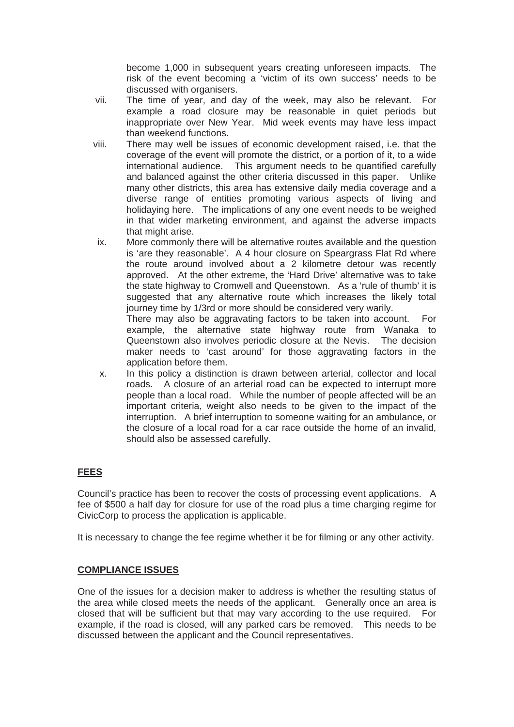become 1,000 in subsequent years creating unforeseen impacts. The risk of the event becoming a 'victim of its own success' needs to be discussed with organisers.

- vii. The time of year, and day of the week, may also be relevant. For example a road closure may be reasonable in quiet periods but inappropriate over New Year. Mid week events may have less impact than weekend functions.
- viii. There may well be issues of economic development raised, i.e. that the coverage of the event will promote the district, or a portion of it, to a wide international audience. This argument needs to be quantified carefully and balanced against the other criteria discussed in this paper. Unlike many other districts, this area has extensive daily media coverage and a diverse range of entities promoting various aspects of living and holidaying here. The implications of any one event needs to be weighed in that wider marketing environment, and against the adverse impacts that might arise.
- ix. More commonly there will be alternative routes available and the question is 'are they reasonable'. A 4 hour closure on Speargrass Flat Rd where the route around involved about a 2 kilometre detour was recently approved. At the other extreme, the 'Hard Drive' alternative was to take the state highway to Cromwell and Queenstown. As a 'rule of thumb' it is suggested that any alternative route which increases the likely total journey time by 1/3rd or more should be considered very warily. There may also be aggravating factors to be taken into account. For

example, the alternative state highway route from Wanaka to Queenstown also involves periodic closure at the Nevis. The decision maker needs to 'cast around' for those aggravating factors in the application before them.

x. In this policy a distinction is drawn between arterial, collector and local roads. A closure of an arterial road can be expected to interrupt more people than a local road. While the number of people affected will be an important criteria, weight also needs to be given to the impact of the interruption. A brief interruption to someone waiting for an ambulance, or the closure of a local road for a car race outside the home of an invalid, should also be assessed carefully.

### **FEES**

Council's practice has been to recover the costs of processing event applications. A fee of \$500 a half day for closure for use of the road plus a time charging regime for CivicCorp to process the application is applicable.

It is necessary to change the fee regime whether it be for filming or any other activity.

#### **COMPLIANCE ISSUES**

One of the issues for a decision maker to address is whether the resulting status of the area while closed meets the needs of the applicant. Generally once an area is closed that will be sufficient but that may vary according to the use required. For example, if the road is closed, will any parked cars be removed. This needs to be discussed between the applicant and the Council representatives.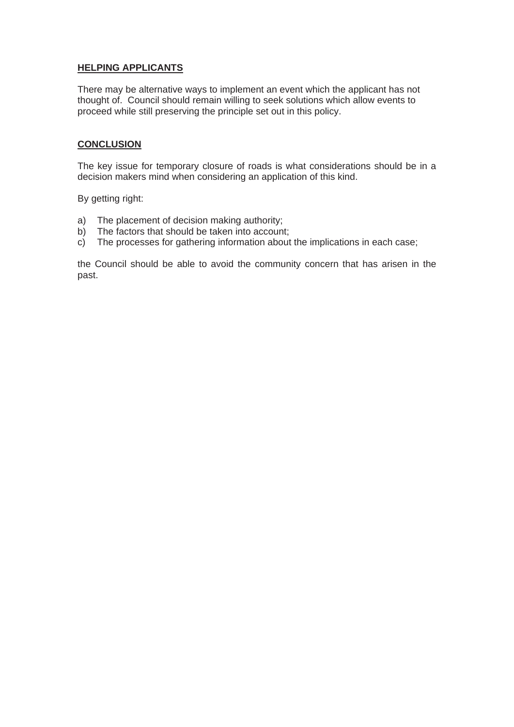#### **HELPING APPLICANTS**

There may be alternative ways to implement an event which the applicant has not thought of. Council should remain willing to seek solutions which allow events to proceed while still preserving the principle set out in this policy.

#### **CONCLUSION**

The key issue for temporary closure of roads is what considerations should be in a decision makers mind when considering an application of this kind.

By getting right:

- a) The placement of decision making authority;
- b) The factors that should be taken into account;
- $\overrightarrow{c}$  The processes for gathering information about the implications in each case;

the Council should be able to avoid the community concern that has arisen in the past.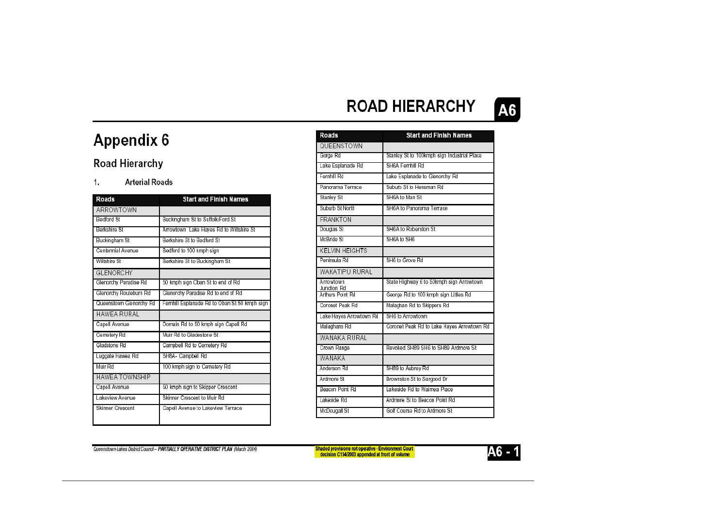#### **ROAD HIERARCHY A6**

# **Appendix 6**

### **Road Hierarchy**

#### $\overline{1}$ . **Arterial Roads**

| Roads                   | <b>Start and Finish Names</b>                 |
|-------------------------|-----------------------------------------------|
| ARROWTOWN               |                                               |
| <b>Bedford St</b>       | Buckingham St to Suffolk/Ford St              |
| Berkshire St            | Arrowtown Lake Hayes Rd to Wiltshire St       |
| Buckingham St           | Berkshire St to Bedford St                    |
| Centennial Avenue       | Bedford to 100 kmph sign                      |
| Wiltshire St            | Berkshire St to Buckingham St                 |
| <b>GLENORCHY</b>        |                                               |
| Glenorchy Paradise Rd   | 50 kmph sign Oban St to end of Rd             |
| Glenorchy Routeburn Rd  | Glenorchy Paradise Rd to end of Rd            |
| Queenstown Glenorchy Rd | Fernhill Esplanade Rd to Oban St 50 kmph sign |
| HAWEA RURAL             |                                               |
| Capell Avenue           | Domain Rd to 50 kmph sign Capell Rd           |
| Cemetery Rd             | Muir Rd to Gladestone St                      |
| Gladstone Rd            | Campbell Rd to Cemetery Rd                    |
| Luggate Hawea Rd        | SH8A- Campbell Rd                             |
| Muir Rd                 | 100 kmph sign to Cemetery Rd                  |
| <b>HAWEA TOWNSHIP</b>   |                                               |
| Capell Avenue           | 50 kmph sign to Skipper Crescent              |
| Lakeview Avenue         | Skinner Crescent to Muir Rd                   |
| Skinner Crescent        | Capell Avenue to Lakeview Terrace             |

| Roads                           | <b>Start and Finish Names</b>               |
|---------------------------------|---------------------------------------------|
| QUEENSTOWN                      |                                             |
| Gorge Rd                        | Stanley St to 100kmph sign Industrial Place |
| Lake Esplanade Rd               | SH6A Femhill Rd                             |
| Fernhill Rd                     | Lake Esplanade to Glenorchy Rd              |
| Panorama Terrace                | Suburb St to Hensman Rd                     |
| Stanley St                      | SH6A to Man St                              |
| Suburb St North                 | SH6A to Panorama Terrace                    |
| <b>FRANKTON</b>                 |                                             |
| Douglas St                      | SH6A to Roberston St                        |
| McBride St                      | SH6A to SH6                                 |
| <b>KELVIN HEIGHTS</b>           |                                             |
| Peninsula Rd                    | SH6 to Grove Rd                             |
| WAKATIPU RURAL                  |                                             |
| Arrowtown                       | State Highway 6 to 50kmph sign Arrowtown    |
| Junction Rd<br>Arthurs Point Rd | George Rd to 100 kmph sign Littles Rd       |
| Coronet Peak Rd                 | Malaghan Rd to Skippers Rd                  |
| Lake Hayes Arrowtown Rd         | SH6 to Arrowtown                            |
| Malaghans Rd                    | Coronet Peak Rd to Lake Hayes Arrowtown Rd  |
| WANAKA RURAL                    |                                             |
| Crown Range                     | Revoked SH89 SH6 to SH89 Ardmore St         |
| WANAKA                          |                                             |
| Anderson Rd                     | SH89 to Aubrey Rd                           |
| Ardmore St                      | Brownston St to Sargood Dr                  |
| Beacon Point Rd                 | Lakeside Rd to Waimea Place                 |
| Lakeside Rd                     | Ardmore St to Beacon Point Rd               |
| McDougall St                    | Golf Course Rd to Ardmore St                |

Queenstown-Lakes District Council - PARTIALLY OPERATIVE DISTRICT PLAN (March 2004)

Shaded provisions not operative - Environment Court<br>decision C134/2003 appended at front of volume

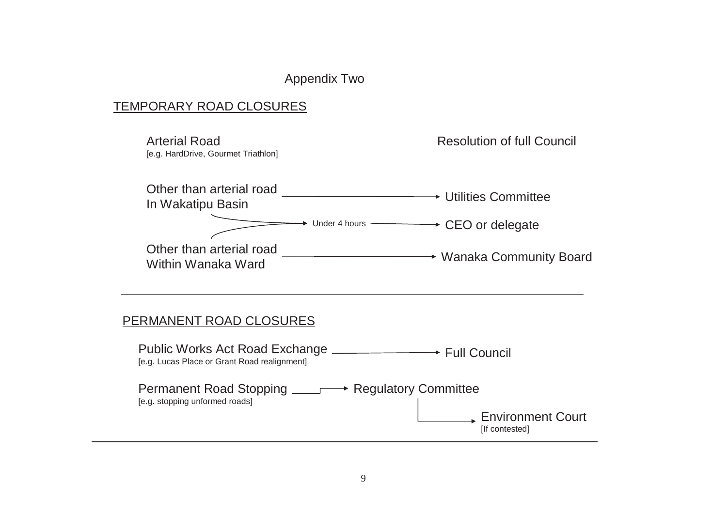### Appendix Two

### TEMPORARY ROAD CLOSURES

Arterial Road[e.g. HardDrive, Gourmet Triathlon] Resolution of full Council Other than arterial road Utilities Committee In Wakatipu Basin Other than arterial road \_\_\_\_\_\_\_\_\_\_\_\_\_\_\_\_\_\_\_\_\_\_\_\_\_\_\_\_\_\_\_→ Wanaka Community Board<br>Within Wanaka Ward Permanent Road Stopping <sub>———</sub>→ Regulatory Committee [e.g. stopping unformed roads] Public Works Act Road Exchange Full Council [e.g. Lucas Place or Grant Road realignment] PERMANENT ROAD CLOSURES Under 4 hours  $\longrightarrow$  CEO or delegate Environment Court

[If contested]